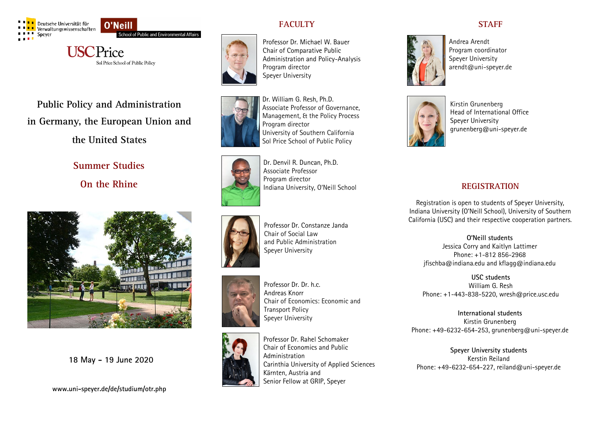

O'Neill School of Public and Environmental Affairs

**USCPrice** Sol Price School of Public Policy

**Public Policy and Administration in Germany, the European Union and** 

**the United States**

# **Summer Studies**

**On the Rhine**



**18 May - 19 June 2020**

**www.uni-speyer.de/de/studium/otr.php**





Professor Dr. Michael W. Bauer Chair of Comparative Public Administration and Policy-Analysis Program director Speyer University



Associate Professor of Governance, Management, & the Policy Process Program director University of Southern California Sol Price School of Public Policy

Dr. William G. Resh, Ph.D.



Dr. Denvil R. Duncan, Ph.D. Associate Professor Program director Indiana University, O'Neill School

Professor Dr. Constanze Janda

Chair of Social Law and Public Administration

Speyer University







Professor Dr. Rahel Schomaker Chair of Economics and Public Administration Carinthia University of Applied Sciences Kärnten, Austria and Senior Fellow at GRIP, Speyer

# **STAFF**



Andrea Arendt Program coordinator Speyer University arendt@uni-speyer.de



Kirstin Grunenberg Head of International Office Speyer University grunenberg@uni-speyer.de

# **REGISTRATION**

Registration is open to students of Speyer University, Indiana University (O'Neill School), University of Southern California (USC) and their respective cooperation partners.

**O'Neill students** Jessica Corry and Kaitlyn Lattimer Phone: +1-812 856-2968 jfischba@indiana.edu and kflagg@indiana.edu

**USC students** William G. Resh Phone: +1-443-838-5220, wresh@price.usc.edu

**International students**  Kirstin Grunenberg Phone:  $+49-6232-654-253$ , grunenberg@uni-speyer.de

**Speyer University students** Kerstin Reiland Phone: +49-6232-654-227, reiland@uni-speyer.de